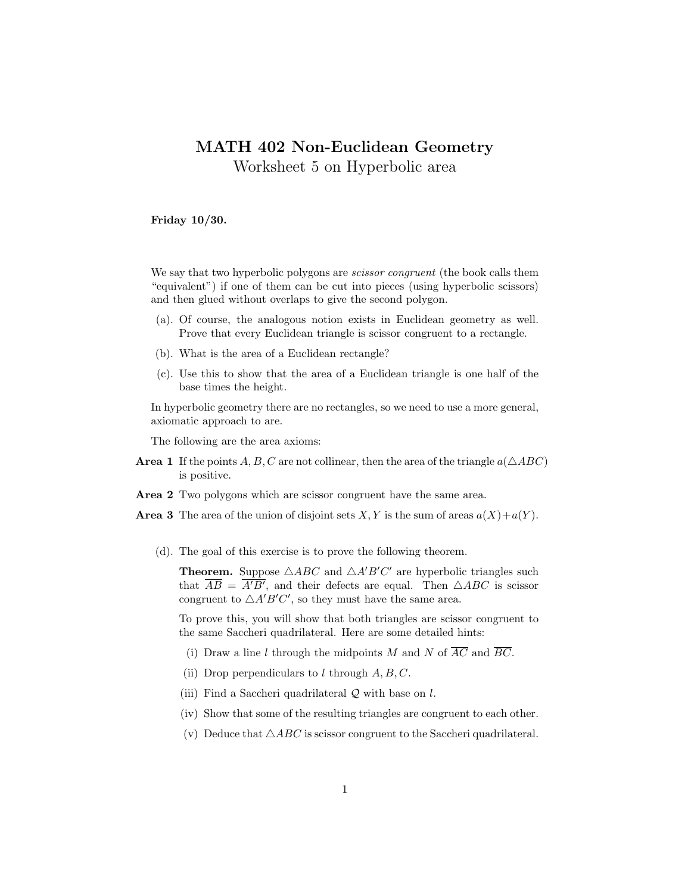## MATH 402 Non-Euclidean Geometry

Worksheet 5 on Hyperbolic area

Friday 10/30.

We say that two hyperbolic polygons are *scissor congruent* (the book calls them "equivalent") if one of them can be cut into pieces (using hyperbolic scissors) and then glued without overlaps to give the second polygon.

- (a). Of course, the analogous notion exists in Euclidean geometry as well. Prove that every Euclidean triangle is scissor congruent to a rectangle.
- (b). What is the area of a Euclidean rectangle?
- (c). Use this to show that the area of a Euclidean triangle is one half of the base times the height.

In hyperbolic geometry there are no rectangles, so we need to use a more general, axiomatic approach to are.

The following are the area axioms:

- **Area 1** If the points A, B, C are not collinear, then the area of the triangle  $a(\triangle ABC)$ is positive.
- Area 2 Two polygons which are scissor congruent have the same area.
- **Area 3** The area of the union of disjoint sets  $X, Y$  is the sum of areas  $a(X)+a(Y)$ .
	- (d). The goal of this exercise is to prove the following theorem.

**Theorem.** Suppose  $\triangle ABC$  and  $\triangle A'B'C'$  are hyperbolic triangles such that  $\overline{AB} = \overline{A'B'}$ , and their defects are equal. Then  $\triangle ABC$  is scissor congruent to  $\triangle A'B'C'$ , so they must have the same area.

To prove this, you will show that both triangles are scissor congruent to the same Saccheri quadrilateral. Here are some detailed hints:

- (i) Draw a line l through the midpoints M and N of  $\overline{AC}$  and  $\overline{BC}$ .
- (ii) Drop perpendiculars to l through  $A, B, C$ .
- (iii) Find a Saccheri quadrilateral  $Q$  with base on  $l$ .
- (iv) Show that some of the resulting triangles are congruent to each other.
- (v) Deduce that  $\triangle ABC$  is scissor congruent to the Saccheri quadrilateral.